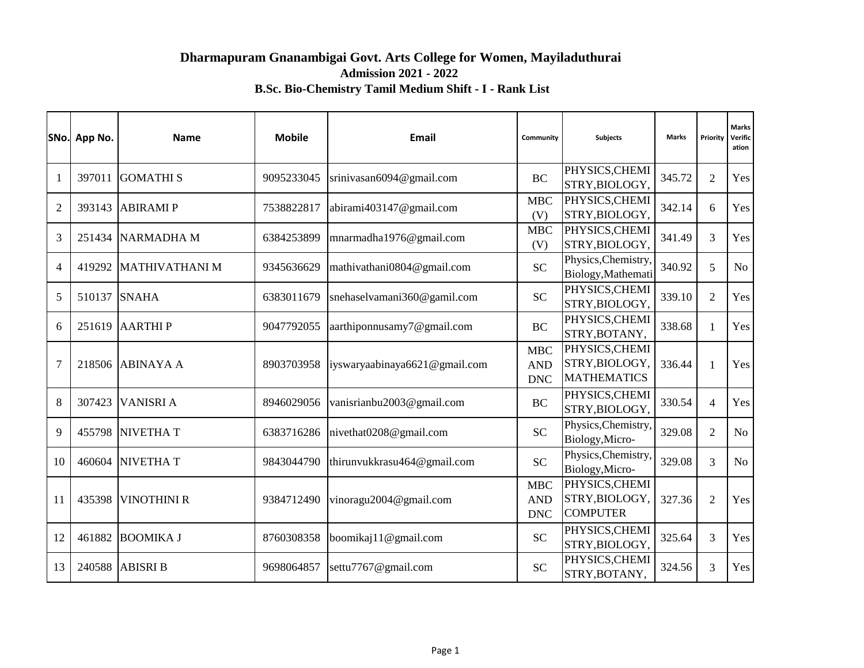# **Dharmapuram Gnanambigai Govt. Arts College for Women, Mayiladuthurai Admission 2021 - 2022 B.Sc. Bio-Chemistry Tamil Medium Shift - I - Rank List**

|                | SNo. App No. | <b>Name</b>           | <b>Mobile</b> | Email                         | Community                              | <b>Subjects</b>                                        | <b>Marks</b> | Priority       | Marks<br>Verific<br>ation |
|----------------|--------------|-----------------------|---------------|-------------------------------|----------------------------------------|--------------------------------------------------------|--------------|----------------|---------------------------|
|                | 397011       | <b>GOMATHIS</b>       | 9095233045    | srinivasan6094@gmail.com      | <b>BC</b>                              | PHYSICS, CHEMI<br>STRY, BIOLOGY,                       | 345.72       | $\overline{2}$ | Yes                       |
| $\overline{2}$ | 393143       | <b>ABIRAMIP</b>       | 7538822817    | abirami403147@gmail.com       | <b>MBC</b><br>(V)                      | PHYSICS, CHEMI<br>STRY, BIOLOGY,                       | 342.14       | 6              | Yes                       |
| 3              | 251434       | <b>NARMADHA M</b>     | 6384253899    | mnarmadha1976@gmail.com       | <b>MBC</b><br>(V)                      | PHYSICS, CHEMI<br>STRY, BIOLOGY,                       | 341.49       | $\overline{3}$ | Yes                       |
| $\overline{A}$ | 419292       | <b>MATHIVATHANI M</b> | 9345636629    | mathivathani0804@gmail.com    | <b>SC</b>                              | Physics, Chemistry,<br>Biology, Mathemati              | 340.92       | 5              | No                        |
| 5              | 510137       | <b>SNAHA</b>          | 6383011679    | snehaselvamani360@gamil.com   | <b>SC</b>                              | PHYSICS, CHEMI<br>STRY, BIOLOGY,                       | 339.10       | $\overline{2}$ | Yes                       |
| 6              | 251619       | <b>AARTHIP</b>        | 9047792055    | aarthiponnusamy7@gmail.com    | <b>BC</b>                              | PHYSICS, CHEMI<br>STRY, BOTANY,                        | 338.68       | $\mathbf{1}$   | Yes                       |
| $\overline{7}$ | 218506       | <b>ABINAYA A</b>      | 8903703958    | iyswaryaabinaya6621@gmail.com | <b>MBC</b><br><b>AND</b><br><b>DNC</b> | PHYSICS, CHEMI<br>STRY, BIOLOGY,<br><b>MATHEMATICS</b> | 336.44       | $\mathbf{1}$   | Yes                       |
| 8              | 307423       | <b>VANISRI A</b>      | 8946029056    | vanisrianbu2003@gmail.com     | <b>BC</b>                              | PHYSICS, CHEMI<br>STRY, BIOLOGY,                       | 330.54       | $\overline{4}$ | Yes                       |
| 9              | 455798       | <b>NIVETHAT</b>       | 6383716286    | nivethat0208@gmail.com        | <b>SC</b>                              | Physics, Chemistry,<br>Biology, Micro-                 | 329.08       | $\overline{2}$ | No                        |
| 10             | 460604       | <b>NIVETHAT</b>       | 9843044790    | thirunvukkrasu464@gmail.com   | <b>SC</b>                              | Physics, Chemistry,<br>Biology, Micro-                 | 329.08       | 3              | N <sub>o</sub>            |
| 11             | 435398       | <b>VINOTHINI R</b>    | 9384712490    | vinoragu2004@gmail.com        | <b>MBC</b><br><b>AND</b><br><b>DNC</b> | PHYSICS, CHEMI<br>STRY, BIOLOGY,<br><b>COMPUTER</b>    | 327.36       | $\overline{2}$ | Yes                       |
| 12             | 461882       | <b>BOOMIKA J</b>      | 8760308358    | boomikaj11@gmail.com          | <b>SC</b>                              | PHYSICS, CHEMI<br>STRY, BIOLOGY,                       | 325.64       | 3              | Yes                       |
| 13             | 240588       | <b>ABISRI B</b>       | 9698064857    | settu7767@gmail.com           | <b>SC</b>                              | PHYSICS, CHEMI<br>STRY, BOTANY,                        | 324.56       | 3              | Yes                       |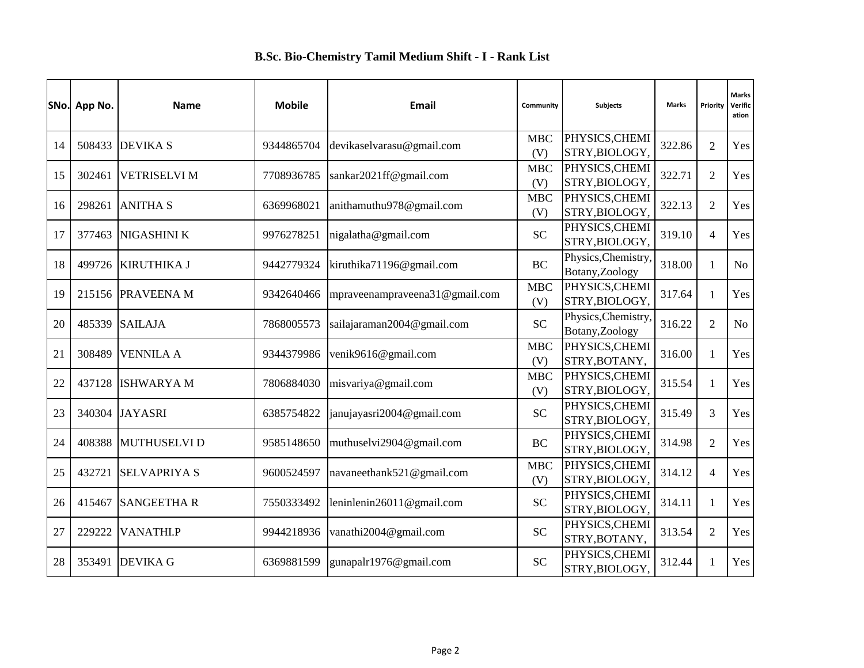|    | SNo. App No. | <b>Name</b>         | <b>Mobile</b> | Email                          | Community         | <b>Subjects</b>                        | <b>Marks</b> | Priority       | <b>Marks</b><br>Verific<br>ation |
|----|--------------|---------------------|---------------|--------------------------------|-------------------|----------------------------------------|--------------|----------------|----------------------------------|
| 14 |              | 508433 DEVIKA S     | 9344865704    | devikaselvarasu@gmail.com      | <b>MBC</b>        | PHYSICS, CHEMI                         | 322.86       | $\overline{2}$ | Yes                              |
|    |              |                     |               |                                | (V)               | STRY, BIOLOGY,                         |              |                |                                  |
| 15 | 302461       | <b>VETRISELVI M</b> | 7708936785    | sankar2021ff@gmail.com         | <b>MBC</b><br>(V) | PHYSICS, CHEMI<br>STRY, BIOLOGY,       | 322.71       | $\overline{2}$ | Yes                              |
| 16 | 298261       | <b>ANITHA S</b>     | 6369968021    | anithamuthu978@gmail.com       | <b>MBC</b><br>(V) | PHYSICS, CHEMI<br>STRY, BIOLOGY,       | 322.13       | $\overline{2}$ | Yes                              |
| 17 | 377463       | <b>NIGASHINI K</b>  | 9976278251    | nigalatha@gmail.com            | <b>SC</b>         | PHYSICS, CHEMI<br>STRY, BIOLOGY,       | 319.10       | $\overline{4}$ | Yes                              |
| 18 |              | 499726 KIRUTHIKA J  | 9442779324    | kiruthika71196@gmail.com       | <b>BC</b>         | Physics, Chemistry,<br>Botany, Zoology | 318.00       | $\mathbf{1}$   | N <sub>o</sub>                   |
| 19 | 215156       | <b>PRAVEENAM</b>    | 9342640466    | mpraveenampraveena31@gmail.com | <b>MBC</b><br>(V) | PHYSICS, CHEMI<br>STRY, BIOLOGY,       | 317.64       | $\mathbf{1}$   | Yes                              |
| 20 | 485339       | <b>SAILAJA</b>      | 7868005573    | sailajaraman2004@gmail.com     | <b>SC</b>         | Physics, Chemistry,<br>Botany, Zoology | 316.22       | $\overline{2}$ | N <sub>o</sub>                   |
| 21 | 308489       | <b>VENNILA A</b>    | 9344379986    | venik9616@gmail.com            | <b>MBC</b><br>(V) | PHYSICS, CHEMI<br>STRY, BOTANY,        | 316.00       | $\mathbf{1}$   | Yes                              |
| 22 | 437128       | <b>ISHWARYA M</b>   | 7806884030    | misvariya@gmail.com            | <b>MBC</b><br>(V) | PHYSICS, CHEMI<br>STRY, BIOLOGY,       | 315.54       | $\mathbf{1}$   | Yes                              |
| 23 | 340304       | <b>JAYASRI</b>      | 6385754822    | janujayasri2004@gmail.com      | <b>SC</b>         | PHYSICS, CHEMI<br>STRY, BIOLOGY,       | 315.49       | 3              | Yes                              |
| 24 | 408388       | MUTHUSELVI D        | 9585148650    | muthuselvi2904@gmail.com       | <b>BC</b>         | PHYSICS, CHEMI<br>STRY, BIOLOGY,       | 314.98       | $\overline{2}$ | Yes                              |
| 25 | 432721       | <b>SELVAPRIYA S</b> | 9600524597    | navaneethank521@gmail.com      | <b>MBC</b><br>(V) | PHYSICS, CHEMI<br>STRY, BIOLOGY,       | 314.12       | $\overline{4}$ | Yes                              |
| 26 | 415467       | <b>SANGEETHA R</b>  | 7550333492    | leninlenin26011@gmail.com      | <b>SC</b>         | PHYSICS, CHEMI<br>STRY, BIOLOGY,       | 314.11       | $\mathbf{1}$   | Yes                              |
| 27 | 229222       | <b>VANATHI.P</b>    | 9944218936    | vanathi2004@gmail.com          | <b>SC</b>         | PHYSICS, CHEMI<br>STRY, BOTANY,        | 313.54       | $\overline{2}$ | Yes                              |
| 28 | 353491       | <b>DEVIKA G</b>     | 6369881599    | gunapalr1976@gmail.com         | <b>SC</b>         | PHYSICS, CHEMI<br>STRY, BIOLOGY,       | 312.44       | $\mathbf{1}$   | Yes                              |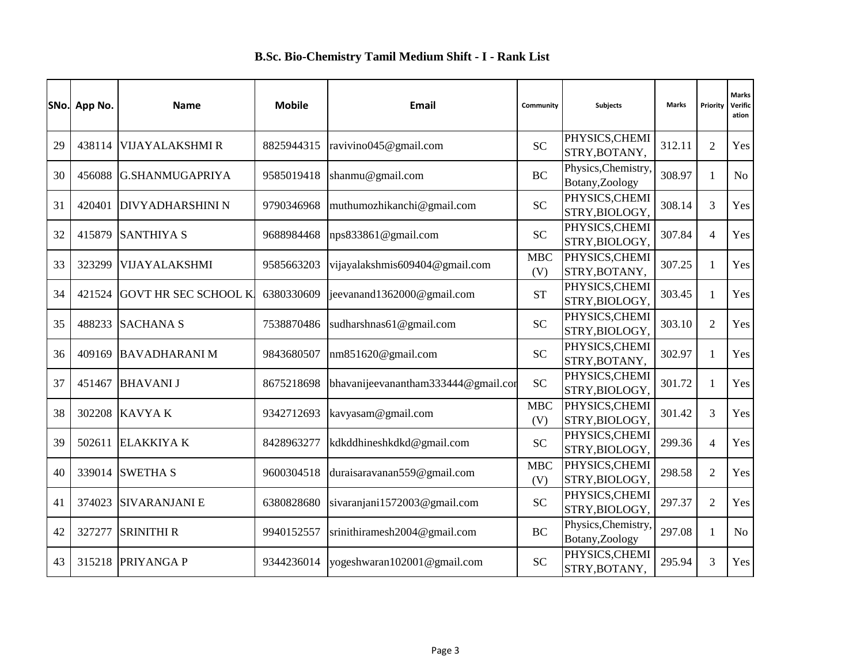|    | SNo. App No. | <b>Name</b>                 | <b>Mobile</b> | Email                               | Community         | <b>Subjects</b>                        | <b>Marks</b> | Priority       | <b>Marks</b><br>Verific<br>ation |
|----|--------------|-----------------------------|---------------|-------------------------------------|-------------------|----------------------------------------|--------------|----------------|----------------------------------|
| 29 | 438114       | <b>VIJAYALAKSHMI R</b>      | 8825944315    | ravivino045@gmail.com               | <b>SC</b>         | PHYSICS, CHEMI<br>STRY, BOTANY,        | 312.11       | $\overline{2}$ | Yes                              |
| 30 | 456088       | G.SHANMUGAPRIYA             | 9585019418    | shanmu@gmail.com                    | <b>BC</b>         | Physics, Chemistry,<br>Botany, Zoology | 308.97       | $\mathbf{1}$   | N <sub>o</sub>                   |
| 31 | 420401       | <b>DIVYADHARSHINI N</b>     | 9790346968    | muthumozhikanchi@gmail.com          | <b>SC</b>         | PHYSICS, CHEMI<br>STRY, BIOLOGY,       | 308.14       | 3              | Yes                              |
| 32 | 415879       | <b>SANTHIYA S</b>           | 9688984468    | nps833861@gmail.com                 | <b>SC</b>         | PHYSICS, CHEMI<br>STRY, BIOLOGY,       | 307.84       | $\overline{4}$ | Yes                              |
| 33 | 323299       | <b>VIJAYALAKSHMI</b>        | 9585663203    | vijayalakshmis609404@gmail.com      | <b>MBC</b><br>(V) | PHYSICS, CHEMI<br>STRY, BOTANY,        | 307.25       | $\mathbf{1}$   | Yes                              |
| 34 | 421524       | <b>GOVT HR SEC SCHOOL K</b> | 6380330609    | jeevanand1362000@gmail.com          | <b>ST</b>         | PHYSICS, CHEMI<br>STRY, BIOLOGY,       | 303.45       | $\mathbf{1}$   | Yes                              |
| 35 | 488233       | <b>SACHANA S</b>            | 7538870486    | sudharshnas61@gmail.com             | <b>SC</b>         | PHYSICS, CHEMI<br>STRY, BIOLOGY.       | 303.10       | $\overline{2}$ | Yes                              |
| 36 | 409169       | <b>BAVADHARANIM</b>         | 9843680507    | nm851620@gmail.com                  | <b>SC</b>         | PHYSICS, CHEMI<br>STRY, BOTANY,        | 302.97       | $\mathbf{1}$   | Yes                              |
| 37 | 451467       | <b>BHAVANI J</b>            | 8675218698    | bhavanijeevanantham333444@gmail.com | <b>SC</b>         | PHYSICS, CHEMI<br>STRY, BIOLOGY,       | 301.72       | $\mathbf{1}$   | Yes                              |
| 38 | 302208       | <b>KAVYAK</b>               | 9342712693    | kavyasam@gmail.com                  | <b>MBC</b><br>(V) | PHYSICS, CHEMI<br>STRY, BIOLOGY,       | 301.42       | 3              | Yes                              |
| 39 | 502611       | <b>ELAKKIYA K</b>           | 8428963277    | kdkddhineshkdkd@gmail.com           | <b>SC</b>         | PHYSICS, CHEMI<br>STRY, BIOLOGY,       | 299.36       | $\overline{4}$ | Yes                              |
| 40 |              | 339014 SWETHA S             | 9600304518    | duraisaravanan559@gmail.com         | <b>MBC</b><br>(V) | PHYSICS, CHEMI<br>STRY, BIOLOGY,       | 298.58       | $\overline{2}$ | Yes                              |
| 41 | 374023       | <b>SIVARANJANI E</b>        | 6380828680    | sivaranjani1572003@gmail.com        | <b>SC</b>         | PHYSICS, CHEMI<br>STRY, BIOLOGY,       | 297.37       | $\overline{2}$ | Yes                              |
| 42 | 327277       | <b>SRINITHI R</b>           | 9940152557    | srinithiramesh2004@gmail.com        | <b>BC</b>         | Physics, Chemistry,<br>Botany, Zoology | 297.08       | $\mathbf{1}$   | No                               |
| 43 | 315218       | <b>PRIYANGA P</b>           | 9344236014    | yogeshwaran102001@gmail.com         | <b>SC</b>         | PHYSICS, CHEMI<br>STRY, BOTANY,        | 295.94       | 3              | Yes                              |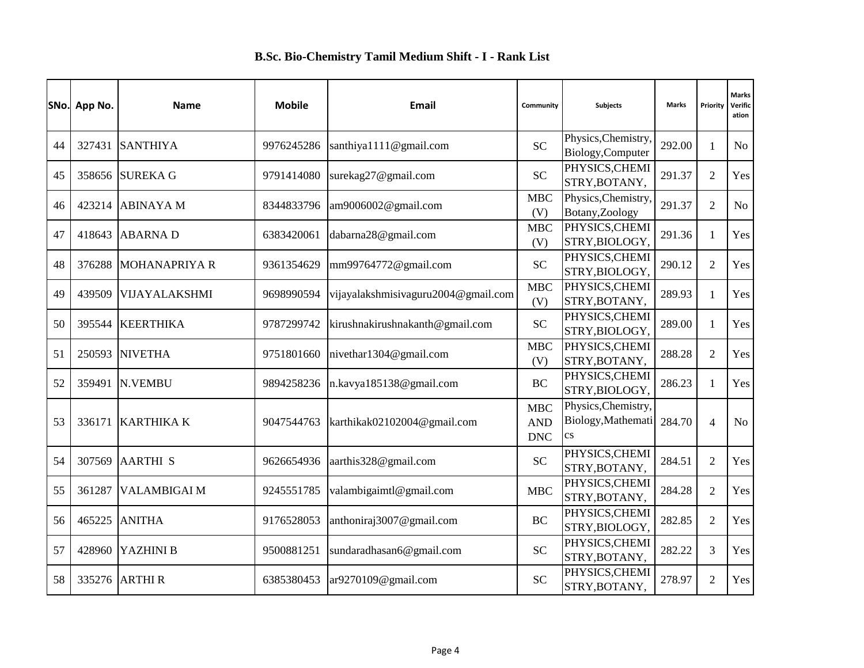|    | SNo. App No. | <b>Name</b>          | <b>Mobile</b> | Email                               | Community                              | <b>Subjects</b>                                                     | <b>Marks</b> | Priority       | <b>Marks</b><br>Verific<br>ation |
|----|--------------|----------------------|---------------|-------------------------------------|----------------------------------------|---------------------------------------------------------------------|--------------|----------------|----------------------------------|
| 44 |              | 327431 SANTHIYA      | 9976245286    | santhiya1111@gmail.com              | <b>SC</b>                              | Physics, Chemistry,<br>Biology, Computer                            | 292.00       | $\mathbf{1}$   | N <sub>o</sub>                   |
| 45 |              | 358656 SUREKA G      | 9791414080    | surekag27@gmail.com                 | <b>SC</b>                              | PHYSICS, CHEMI<br>STRY, BOTANY,                                     | 291.37       | $\overline{2}$ | Yes                              |
| 46 | 423214       | <b>ABINAYA M</b>     | 8344833796    | am9006002@gmail.com                 | <b>MBC</b><br>(V)                      | Physics, Chemistry,<br>Botany, Zoology                              | 291.37       | $\overline{c}$ | N <sub>o</sub>                   |
| 47 | 418643       | <b>ABARNAD</b>       | 6383420061    | dabarna28@gmail.com                 | <b>MBC</b><br>(V)                      | PHYSICS, CHEMI<br>STRY, BIOLOGY,                                    | 291.36       | $\mathbf{1}$   | Yes                              |
| 48 | 376288       | <b>MOHANAPRIYA R</b> | 9361354629    | mm99764772@gmail.com                | <b>SC</b>                              | PHYSICS, CHEMI<br>STRY, BIOLOGY,                                    | 290.12       | $\overline{2}$ | Yes                              |
| 49 | 439509       | VIJAYALAKSHMI        | 9698990594    | vijayalakshmisivaguru2004@gmail.com | <b>MBC</b><br>(V)                      | PHYSICS, CHEMI<br>STRY, BOTANY,                                     | 289.93       | $\mathbf{1}$   | Yes                              |
| 50 | 395544       | <b>KEERTHIKA</b>     | 9787299742    | kirushnakirushnakanth@gmail.com     | <b>SC</b>                              | PHYSICS, CHEMI<br>STRY, BIOLOGY,                                    | 289.00       | $\mathbf{1}$   | Yes                              |
| 51 |              | 250593 NIVETHA       | 9751801660    | nivethar1304@gmail.com              | <b>MBC</b><br>(V)                      | PHYSICS, CHEMI<br>STRY, BOTANY,                                     | 288.28       | $\overline{2}$ | Yes                              |
| 52 | 359491       | <b>N.VEMBU</b>       | 9894258236    | n.kavya185138@gmail.com             | <b>BC</b>                              | PHYSICS, CHEMI<br>STRY, BIOLOGY,                                    | 286.23       | $\mathbf{1}$   | Yes                              |
| 53 | 336171       | <b>KARTHIKA K</b>    | 9047544763    | karthikak02102004@gmail.com         | <b>MBC</b><br><b>AND</b><br><b>DNC</b> | Physics, Chemistry,<br>Biology, Mathemati<br>$\mathbf{c}\mathbf{s}$ | 284.70       | $\overline{4}$ | No                               |
| 54 | 307569       | <b>AARTHI S</b>      | 9626654936    | aarthis328@gmail.com                | <b>SC</b>                              | PHYSICS, CHEMI<br>STRY, BOTANY,                                     | 284.51       | $\overline{2}$ | Yes                              |
| 55 | 361287       | <b>VALAMBIGAI M</b>  | 9245551785    | valambigaimtl@gmail.com             | <b>MBC</b>                             | PHYSICS, CHEMI<br>STRY, BOTANY,                                     | 284.28       | $\overline{2}$ | Yes                              |
| 56 | 465225       | <b>ANITHA</b>        | 9176528053    | anthoniraj3007@gmail.com            | <b>BC</b>                              | PHYSICS, CHEMI<br>STRY, BIOLOGY,                                    | 282.85       | $\overline{2}$ | Yes                              |
| 57 | 428960       | YAZHINI B            | 9500881251    | sundaradhasan6@gmail.com            | <b>SC</b>                              | PHYSICS, CHEMI<br>STRY, BOTANY,                                     | 282.22       | 3              | Yes                              |
| 58 | 335276       | <b>ARTHIR</b>        | 6385380453    | ar9270109@gmail.com                 | <b>SC</b>                              | PHYSICS, CHEMI<br>STRY, BOTANY,                                     | 278.97       | $\overline{2}$ | Yes                              |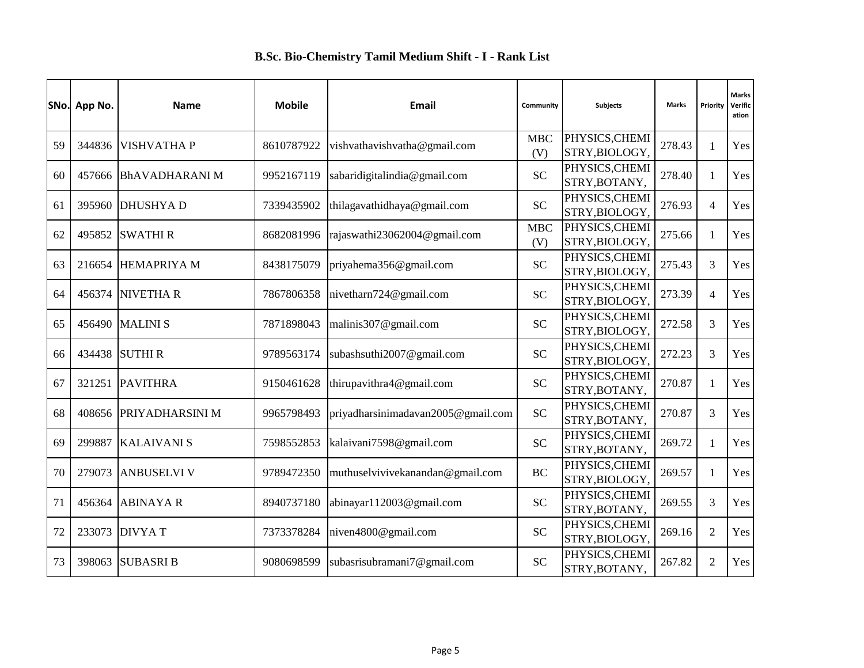|    | SNo. App No. | <b>Name</b>            | <b>Mobile</b> | Email                              | Community         | <b>Subjects</b>                  | <b>Marks</b> | Priority       | <b>Marks</b><br>Verific<br>ation |
|----|--------------|------------------------|---------------|------------------------------------|-------------------|----------------------------------|--------------|----------------|----------------------------------|
| 59 | 344836       | <b>VISHVATHAP</b>      | 8610787922    | vishvathavishvatha@gmail.com       | <b>MBC</b><br>(V) | PHYSICS, CHEMI<br>STRY, BIOLOGY, | 278.43       | $\mathbf{1}$   | Yes                              |
| 60 | 457666       | <b>BhAVADHARANIM</b>   | 9952167119    | sabaridigitalindia@gmail.com       | <b>SC</b>         | PHYSICS, CHEMI<br>STRY, BOTANY,  | 278.40       | $\mathbf{1}$   | Yes                              |
| 61 |              | 395960 DHUSHYA D       | 7339435902    | thilagavathidhaya@gmail.com        | <b>SC</b>         | PHYSICS, CHEMI<br>STRY, BIOLOGY, | 276.93       | $\overline{4}$ | Yes                              |
| 62 | 495852       | <b>SWATHIR</b>         | 8682081996    | rajaswathi23062004@gmail.com       | <b>MBC</b><br>(V) | PHYSICS, CHEMI<br>STRY, BIOLOGY, | 275.66       | $\mathbf{1}$   | Yes                              |
| 63 | 216654       | <b>HEMAPRIYA M</b>     | 8438175079    | priyahema356@gmail.com             | <b>SC</b>         | PHYSICS, CHEMI<br>STRY, BIOLOGY, | 275.43       | 3              | Yes                              |
| 64 | 456374       | <b>NIVETHAR</b>        | 7867806358    | nivetharn724@gmail.com             | <b>SC</b>         | PHYSICS, CHEMI<br>STRY, BIOLOGY, | 273.39       | 4              | Yes                              |
| 65 | 456490       | <b>MALINIS</b>         | 7871898043    | malinis307@gmail.com               | <b>SC</b>         | PHYSICS, CHEMI<br>STRY, BIOLOGY, | 272.58       | 3              | Yes                              |
| 66 | 434438       | <b>SUTHIR</b>          | 9789563174    | subashsuthi2007@gmail.com          | <b>SC</b>         | PHYSICS, CHEMI<br>STRY, BIOLOGY, | 272.23       | 3              | Yes                              |
| 67 | 321251       | <b>PAVITHRA</b>        | 9150461628    | thirupavithra4@gmail.com           | <b>SC</b>         | PHYSICS, CHEMI<br>STRY, BOTANY,  | 270.87       | $\mathbf{1}$   | Yes                              |
| 68 | 408656       | <b>PRIYADHARSINI M</b> | 9965798493    | priyadharsinimadavan2005@gmail.com | <b>SC</b>         | PHYSICS, CHEMI<br>STRY, BOTANY,  | 270.87       | 3              | Yes                              |
| 69 | 299887       | <b>KALAIVANI S</b>     | 7598552853    | kalaivani7598@gmail.com            | <b>SC</b>         | PHYSICS, CHEMI<br>STRY, BOTANY,  | 269.72       | $\mathbf{1}$   | Yes                              |
| 70 | 279073       | <b>ANBUSELVI V</b>     | 9789472350    | muthuselvivivekanandan@gmail.com   | <b>BC</b>         | PHYSICS, CHEMI<br>STRY, BIOLOGY, | 269.57       | $\mathbf{1}$   | Yes                              |
| 71 | 456364       | <b>ABINAYA R</b>       | 8940737180    | abinayar112003@gmail.com           | <b>SC</b>         | PHYSICS, CHEMI<br>STRY, BOTANY,  | 269.55       | 3              | Yes                              |
| 72 | 233073       | <b>DIVYAT</b>          | 7373378284    | niven4800@gmail.com                | <b>SC</b>         | PHYSICS, CHEMI<br>STRY, BIOLOGY, | 269.16       | $\overline{2}$ | Yes                              |
| 73 | 398063       | <b>SUBASRI B</b>       | 9080698599    | subasrisubramani7@gmail.com        | <b>SC</b>         | PHYSICS, CHEMI<br>STRY, BOTANY,  | 267.82       | $\overline{2}$ | Yes                              |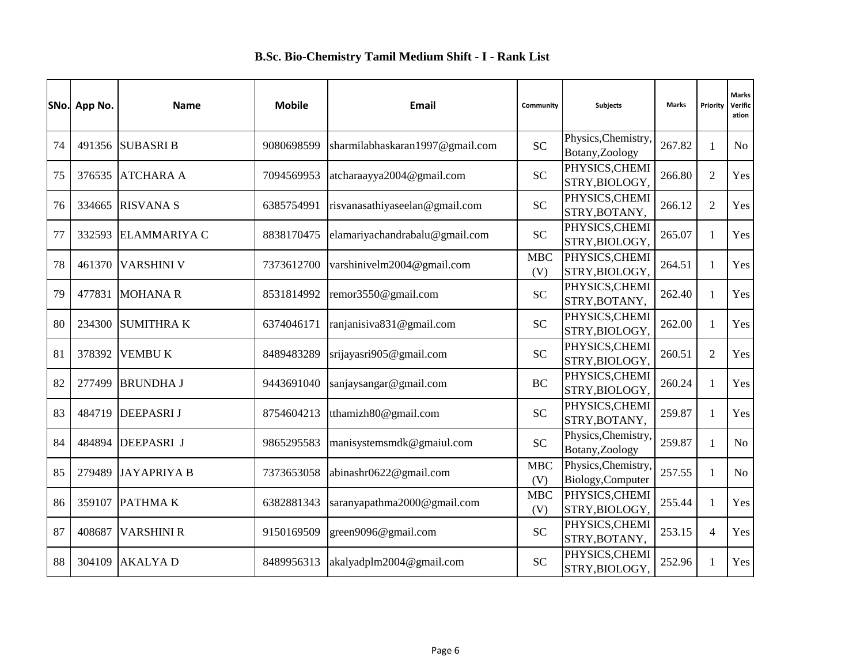|    | SNo. App No. | <b>Name</b>         | <b>Mobile</b> | Email                           | Community         | Subjects                                 | <b>Marks</b> | Priority       | <b>Marks</b><br>Verific<br>ation |
|----|--------------|---------------------|---------------|---------------------------------|-------------------|------------------------------------------|--------------|----------------|----------------------------------|
| 74 |              | 491356 SUBASRI B    | 9080698599    | sharmilabhaskaran1997@gmail.com | <b>SC</b>         | Physics, Chemistry,<br>Botany, Zoology   | 267.82       | $\mathbf{1}$   | N <sub>o</sub>                   |
| 75 | 376535       | <b>ATCHARA A</b>    | 7094569953    | atcharaayya2004@gmail.com       | <b>SC</b>         | PHYSICS, CHEMI<br>STRY, BIOLOGY,         | 266.80       | $\overline{2}$ | Yes                              |
| 76 | 334665       | <b>RISVANA S</b>    | 6385754991    | risvanasathiyaseelan@gmail.com  | <b>SC</b>         | PHYSICS, CHEMI<br>STRY, BOTANY,          | 266.12       | $\overline{2}$ | Yes                              |
| 77 | 332593       | <b>ELAMMARIYA C</b> | 8838170475    | elamariyachandrabalu@gmail.com  | <b>SC</b>         | PHYSICS, CHEMI<br>STRY, BIOLOGY,         | 265.07       | $\mathbf{1}$   | Yes                              |
| 78 | 461370       | <b>VARSHINI V</b>   | 7373612700    | varshinivelm2004@gmail.com      | <b>MBC</b><br>(V) | PHYSICS, CHEMI<br>STRY, BIOLOGY,         | 264.51       | $\mathbf{1}$   | Yes                              |
| 79 | 477831       | <b>MOHANAR</b>      | 8531814992    | remor3550@gmail.com             | <b>SC</b>         | PHYSICS, CHEMI<br>STRY, BOTANY,          | 262.40       | $\mathbf{1}$   | Yes                              |
| 80 | 234300       | <b>SUMITHRAK</b>    | 6374046171    | ranjanisiva831@gmail.com        | <b>SC</b>         | PHYSICS, CHEMI<br>STRY, BIOLOGY.         | 262.00       | $\mathbf{1}$   | Yes                              |
| 81 | 378392       | <b>VEMBUK</b>       | 8489483289    | srijayasri905@gmail.com         | <b>SC</b>         | PHYSICS, CHEMI<br>STRY, BIOLOGY,         | 260.51       | $\overline{2}$ | Yes                              |
| 82 | 277499       | <b>BRUNDHA J</b>    | 9443691040    | sanjaysangar@gmail.com          | <b>BC</b>         | PHYSICS, CHEMI<br>STRY, BIOLOGY,         | 260.24       | $\mathbf{1}$   | Yes                              |
| 83 | 484719       | <b>DEEPASRIJ</b>    | 8754604213    | tthamizh80@gmail.com            | <b>SC</b>         | PHYSICS, CHEMI<br>STRY, BOTANY,          | 259.87       | $\mathbf{1}$   | Yes                              |
| 84 | 484894       | <b>DEEPASRI J</b>   | 9865295583    | manisystemsmdk@gmaiul.com       | <b>SC</b>         | Physics, Chemistry,<br>Botany, Zoology   | 259.87       | $\mathbf{1}$   | N <sub>o</sub>                   |
| 85 | 279489       | <b>JAYAPRIYA B</b>  | 7373653058    | abinashr0622@gmail.com          | <b>MBC</b><br>(V) | Physics, Chemistry.<br>Biology, Computer | 257.55       | $\mathbf{1}$   | No                               |
| 86 | 359107       | <b>PATHMAK</b>      | 6382881343    | saranyapathma2000@gmail.com     | <b>MBC</b><br>(V) | PHYSICS, CHEMI<br>STRY, BIOLOGY,         | 255.44       | $\mathbf{1}$   | Yes                              |
| 87 | 408687       | <b>VARSHINI R</b>   | 9150169509    | green9096@gmail.com             | <b>SC</b>         | PHYSICS, CHEMI<br>STRY, BOTANY,          | 253.15       | $\overline{4}$ | Yes                              |
| 88 | 304109       | <b>AKALYAD</b>      | 8489956313    | akalyadplm2004@gmail.com        | <b>SC</b>         | PHYSICS, CHEMI<br>STRY, BIOLOGY,         | 252.96       | $\mathbf{1}$   | Yes                              |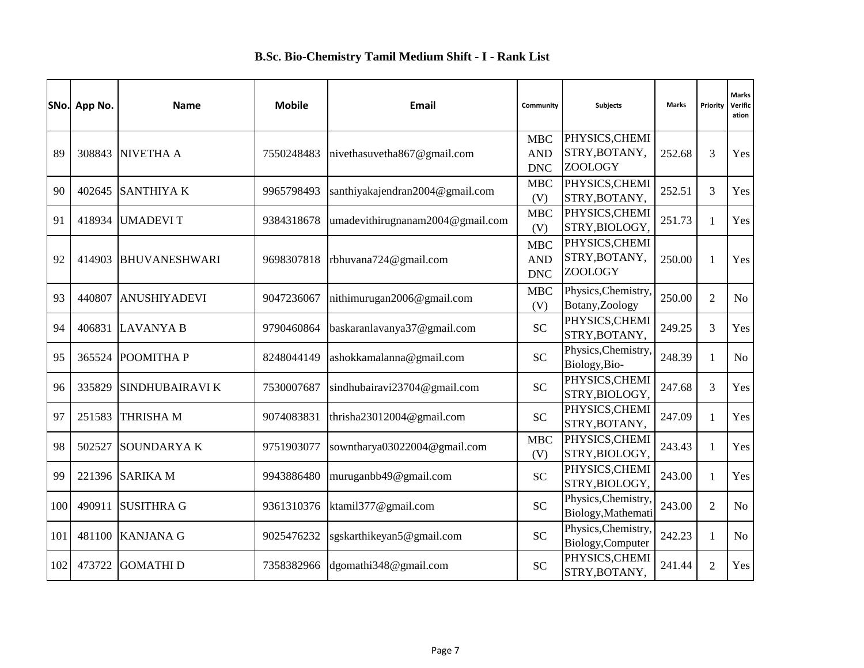|     | SNo. App No. | <b>Name</b>            | <b>Mobile</b> | Email                            | Community                              | <b>Subjects</b>                                   | <b>Marks</b> | Priority       | <b>Marks</b><br>Verific<br>ation |
|-----|--------------|------------------------|---------------|----------------------------------|----------------------------------------|---------------------------------------------------|--------------|----------------|----------------------------------|
| 89  | 308843       | NIVETHA A              | 7550248483    | nivethasuvetha867@gmail.com      | <b>MBC</b><br><b>AND</b>               | PHYSICS, CHEMI<br>STRY, BOTANY,                   | 252.68       | 3              | Yes                              |
| 90  | 402645       | <b>SANTHIYAK</b>       | 9965798493    | santhiyakajendran2004@gmail.com  | <b>DNC</b><br><b>MBC</b><br>(V)        | <b>ZOOLOGY</b><br>PHYSICS, CHEMI<br>STRY, BOTANY, | 252.51       | 3              | Yes                              |
| 91  | 418934       | <b>UMADEVIT</b>        | 9384318678    | umadevithirugnanam2004@gmail.com | ${\bf MBC}$<br>(V)                     | PHYSICS, CHEMI<br>STRY, BIOLOGY,                  | 251.73       | $\mathbf{1}$   | Yes                              |
| 92  | 414903       | <b>BHUVANESHWARI</b>   | 9698307818    | rbhuvana724@gmail.com            | <b>MBC</b><br><b>AND</b><br><b>DNC</b> | PHYSICS, CHEMI<br>STRY, BOTANY,<br><b>ZOOLOGY</b> | 250.00       | 1              | Yes                              |
| 93  | 440807       | <b>ANUSHIYADEVI</b>    | 9047236067    | nithimurugan2006@gmail.com       | <b>MBC</b><br>(V)                      | Physics, Chemistry,<br>Botany, Zoology            | 250.00       | $\overline{2}$ | No                               |
| 94  |              | 406831 LAVANYA B       | 9790460864    | baskaranlavanya37@gmail.com      | <b>SC</b>                              | PHYSICS, CHEMI<br>STRY, BOTANY,                   | 249.25       | 3              | Yes                              |
| 95  | 365524       | POOMITHA P             | 8248044149    | ashokkamalanna@gmail.com         | <b>SC</b>                              | Physics, Chemistry,<br>Biology, Bio-              | 248.39       | $\mathbf{1}$   | No                               |
| 96  | 335829       | <b>SINDHUBAIRAVI K</b> | 7530007687    | sindhubairavi23704@gmail.com     | <b>SC</b>                              | PHYSICS, CHEMI<br>STRY, BIOLOGY,                  | 247.68       | 3              | Yes                              |
| 97  | 251583       | <b>THRISHAM</b>        | 9074083831    | thrisha23012004@gmail.com        | <b>SC</b>                              | PHYSICS, CHEMI<br>STRY, BOTANY,                   | 247.09       | $\mathbf{1}$   | Yes                              |
| 98  | 502527       | <b>SOUNDARYAK</b>      | 9751903077    | sowntharya03022004@gmail.com     | <b>MBC</b><br>(V)                      | PHYSICS, CHEMI<br>STRY, BIOLOGY,                  | 243.43       | $\mathbf{1}$   | Yes                              |
| 99  |              | 221396 SARIKA M        | 9943886480    | muruganbb49@gmail.com            | <b>SC</b>                              | PHYSICS, CHEMI<br>STRY, BIOLOGY,                  | 243.00       | $\mathbf{1}$   | Yes                              |
| 100 | 490911       | <b>SUSITHRA G</b>      | 9361310376    | ktamil377@gmail.com              | <b>SC</b>                              | Physics, Chemistry,<br>Biology, Mathemati         | 243.00       | $\overline{2}$ | N <sub>o</sub>                   |
| 101 | 481100       | <b>KANJANA G</b>       | 9025476232    | sgskarthikeyan5@gmail.com        | <b>SC</b>                              | Physics, Chemistry,<br>Biology, Computer          | 242.23       | $\mathbf{1}$   | N <sub>o</sub>                   |
| 102 | 473722       | <b>GOMATHID</b>        | 7358382966    | dgomathi348@gmail.com            | <b>SC</b>                              | PHYSICS, CHEMI<br>STRY, BOTANY,                   | 241.44       | $\overline{2}$ | Yes                              |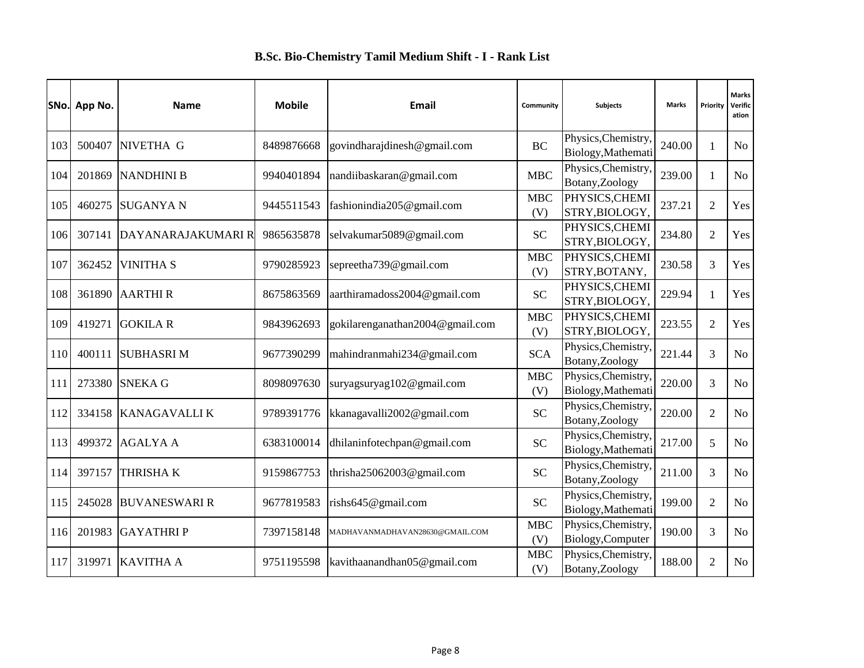|     | SNo. App No. | <b>Name</b>          | <b>Mobile</b> | Email                           | Community         | <b>Subjects</b>                           | <b>Marks</b> | Priority       | <b>Marks</b><br>Verific<br>ation |
|-----|--------------|----------------------|---------------|---------------------------------|-------------------|-------------------------------------------|--------------|----------------|----------------------------------|
| 103 | 500407       | NIVETHA G            | 8489876668    | govindharajdinesh@gmail.com     | <b>BC</b>         | Physics, Chemistry,<br>Biology, Mathemati | 240.00       | 1              | No                               |
| 104 | 201869       | <b>NANDHINI B</b>    | 9940401894    | nandiibaskaran@gmail.com        | <b>MBC</b>        | Physics, Chemistry,<br>Botany, Zoology    | 239.00       | $\mathbf{1}$   | N <sub>o</sub>                   |
| 105 | 460275       | <b>SUGANYA N</b>     | 9445511543    | fashionindia205@gmail.com       | <b>MBC</b><br>(V) | PHYSICS, CHEMI<br>STRY, BIOLOGY,          | 237.21       | $\overline{2}$ | Yes                              |
| 106 | 307141       | DAYANARAJAKUMARI R   | 9865635878    | selvakumar5089@gmail.com        | <b>SC</b>         | PHYSICS, CHEMI<br>STRY, BIOLOGY,          | 234.80       | $\overline{2}$ | Yes                              |
| 107 | 362452       | <b>VINITHA S</b>     | 9790285923    | sepreetha739@gmail.com          | <b>MBC</b><br>(V) | PHYSICS, CHEMI<br>STRY, BOTANY,           | 230.58       | 3              | Yes                              |
| 108 | 361890       | <b>AARTHIR</b>       | 8675863569    | aarthiramadoss2004@gmail.com    | <b>SC</b>         | PHYSICS, CHEMI<br>STRY, BIOLOGY,          | 229.94       | $\mathbf{1}$   | Yes                              |
| 109 | 419271       | <b>GOKILA R</b>      | 9843962693    | gokilarenganathan2004@gmail.com | <b>MBC</b><br>(V) | PHYSICS, CHEMI<br>STRY, BIOLOGY.          | 223.55       | $\mathfrak{2}$ | Yes                              |
| 110 | 400111       | <b>SUBHASRIM</b>     | 9677390299    | mahindranmahi234@gmail.com      | <b>SCA</b>        | Physics, Chemistry,<br>Botany, Zoology    | 221.44       | 3              | N <sub>o</sub>                   |
| 111 | 273380       | <b>SNEKA G</b>       | 8098097630    | suryagsuryag102@gmail.com       | <b>MBC</b><br>(V) | Physics, Chemistry,<br>Biology, Mathemati | 220.00       | 3              | N <sub>o</sub>                   |
| 112 | 334158       | <b>KANAGAVALLIK</b>  | 9789391776    | kkanagavalli2002@gmail.com      | <b>SC</b>         | Physics, Chemistry,<br>Botany, Zoology    | 220.00       | $\overline{c}$ | N <sub>o</sub>                   |
| 113 | 499372       | <b>AGALYA A</b>      | 6383100014    | dhilaninfotechpan@gmail.com     | <b>SC</b>         | Physics, Chemistry,<br>Biology, Mathemati | 217.00       | 5              | N <sub>o</sub>                   |
| 114 | 397157       | <b>THRISHAK</b>      | 9159867753    | thrisha $25062003$ @gmail.com   | <b>SC</b>         | Physics, Chemistry,<br>Botany, Zoology    | 211.00       | 3              | N <sub>o</sub>                   |
| 115 | 245028       | <b>BUVANESWARI R</b> | 9677819583    | rishs645@gmail.com              | <b>SC</b>         | Physics, Chemistry,<br>Biology, Mathemati | 199.00       | $\overline{2}$ | N <sub>o</sub>                   |
| 116 | 201983       | <b>GAYATHRIP</b>     | 7397158148    | MADHAVANMADHAVAN28630@GMAIL.COM | <b>MBC</b><br>(V) | Physics, Chemistry,<br>Biology, Computer  | 190.00       | 3              | N <sub>o</sub>                   |
| 117 | 319971       | <b>KAVITHA A</b>     | 9751195598    | kavithaanandhan05@gmail.com     | <b>MBC</b><br>(V) | Physics, Chemistry,<br>Botany, Zoology    | 188.00       | $\overline{2}$ | No                               |